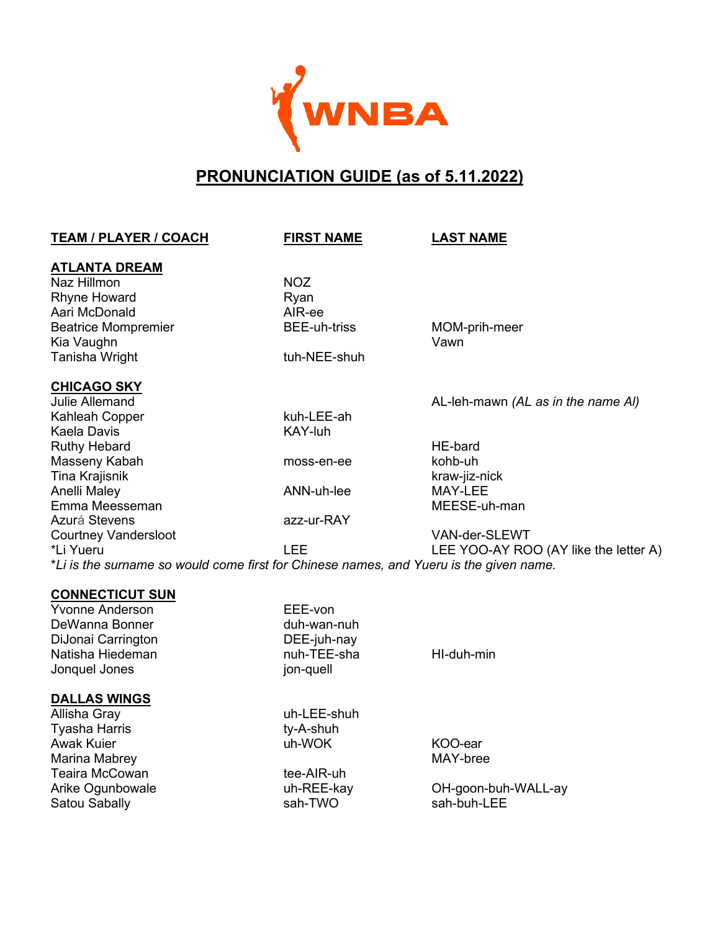

# **PRONUNCIATION GUIDE (as of 5.11.2022)**

| <b>TEAM / PLAYER / COACH</b>                                                           | <b>FIRST NAME</b>   | <b>LAST NAME</b>                      |
|----------------------------------------------------------------------------------------|---------------------|---------------------------------------|
| <b>ATLANTA DREAM</b>                                                                   |                     |                                       |
| Naz Hillmon                                                                            | <b>NOZ</b>          |                                       |
| <b>Rhyne Howard</b>                                                                    | Ryan                |                                       |
| Aari McDonald                                                                          | AIR-ee              |                                       |
| <b>Beatrice Mompremier</b>                                                             | <b>BEE-uh-triss</b> | MOM-prih-meer                         |
| Kia Vaughn                                                                             |                     | Vawn                                  |
| Tanisha Wright                                                                         | tuh-NEE-shuh        |                                       |
| <b>CHICAGO SKY</b>                                                                     |                     |                                       |
| Julie Allemand                                                                         |                     | AL-leh-mawn (AL as in the name AI)    |
| Kahleah Copper                                                                         | kuh-LEE-ah          |                                       |
| <b>Kaela Davis</b>                                                                     | <b>KAY-luh</b>      |                                       |
| <b>Ruthy Hebard</b>                                                                    |                     | <b>HE-bard</b>                        |
| Masseny Kabah                                                                          | moss-en-ee          | kohb-uh                               |
| Tina Krajisnik                                                                         |                     | kraw-jiz-nick                         |
| Anelli Maley                                                                           | ANN-uh-lee          | MAY-LEE                               |
| Emma Meesseman                                                                         |                     | MEESE-uh-man                          |
| Azurá Stevens                                                                          | azz-ur-RAY          |                                       |
| <b>Courtney Vandersloot</b>                                                            |                     | VAN-der-SLEWT                         |
| *Li Yueru                                                                              | <b>LEE</b>          | LEE YOO-AY ROO (AY like the letter A) |
| *Li is the surname so would come first for Chinese names, and Yueru is the given name. |                     |                                       |
| <b>CONNECTICUT SUN</b>                                                                 |                     |                                       |
| <b>Yvonne Anderson</b>                                                                 | EEE-von             |                                       |
| DeWanna Bonner                                                                         | duh-wan-nuh         |                                       |
| DiJonai Carrington                                                                     | DEE-juh-nay         |                                       |
| Natisha Hiedeman                                                                       | nuh-TEE-sha         | HI-duh-min                            |
| Jonquel Jones                                                                          | jon-quell           |                                       |
| <b>DALLAS WINGS</b>                                                                    |                     |                                       |
| Allisha Gray                                                                           | uh-LEE-shuh         |                                       |
| Tyasha Harris                                                                          | ty-A-shuh           |                                       |
| <b>Awak Kuier</b>                                                                      | uh-WOK              | KOO-ear                               |
| Marina Mabrey                                                                          |                     | MAY-bree                              |
| <b>Teaira McCowan</b>                                                                  | tee-AIR-uh          |                                       |
| Arike Ogunbowale                                                                       | uh-REE-kay          | OH-goon-buh-WALL-ay                   |
| Satou Sabally                                                                          | sah-TWO             | sah-buh-LEE                           |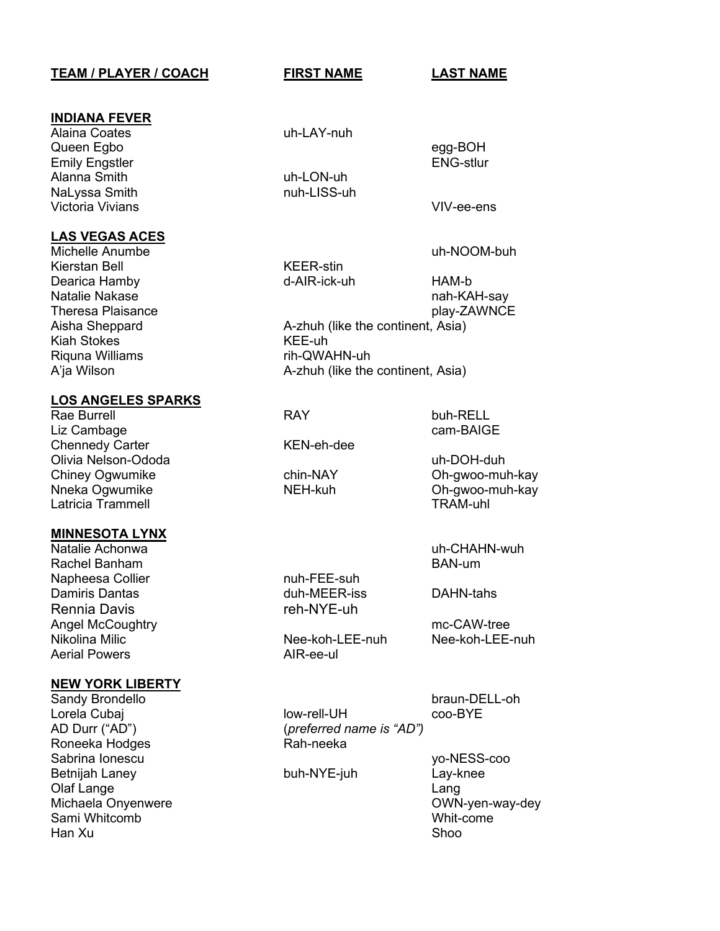# **TEAM / PLAYER / COACH FIRST NAME LAST NAME**

# **INDIANA FEVER**

Queen Egbo egg-BOH Emily Engstler Engine ENG-stlur Alanna Smith uh-LON-uh NaLyssa Smith **nuh-LISS-uh** Victoria Vivians **Victoria Vivians** VIV-ee-ens

# **LAS VEGAS ACES**

Michelle Anumbe uh-NOOM-buh Kierstan Bell KEER-stin Dearica Hamby d-AIR-ick-uh HAM-b Aisha Sheppard **A-zhuh** (like the continent, Asia) Kiah Stokes KEE-uh Riquna Williams rih-QWAHN-uh

# **LOS ANGELES SPARKS**

Rae Burrell **RAY** buh-RELL Liz Cambage cam-BAIGE Chennedy Carter **KEN-eh-dee** Olivia Nelson-Ododa uh-DOH-duh Chiney Ogwumike chin-NAY Oh-gwoo-muh-kay Latricia Trammell

## **MINNESOTA LYNX**

Rachel Banham Napheesa Collier nuh-FEE-suh Damiris Dantas duh-MEER-iss DAHN-tahs Rennia Davis **reh-NYE-uh** Angel McCoughtry mc-CAW-tree Aerial Powers **AIR-ee-ul** 

## **NEW YORK LIBERTY**

AD Durr ("AD") (*preferred name is "AD")* Roneeka Hodges Sabrina Ionescu yo-NESS-coo Betnijah Laney buh-NYE-juh Lay-knee Olaf Lange Lang Michaela Onyenwere OWN-yen-way-dey Sami Whitcomb Han Xu Shoo

Alaina Coates **uh-LAY-nuh** 

Natalie Nakase nah-KAH-say Theresa Plaisance **play-ZAWNCE** 

A'ja Wilson **A-zhuh** (like the continent, Asia)

Oh-gwoo-muh-kay<br>TRAM-uhl

Natalie Achonwa uh-CHAHN-wuh

Nee-koh-LEE-nuh Nee-koh-LEE-nuh

Sandy Brondello **braun-DELL-oh** 

Lorela Cubaj low-rell-UH coo-BYE